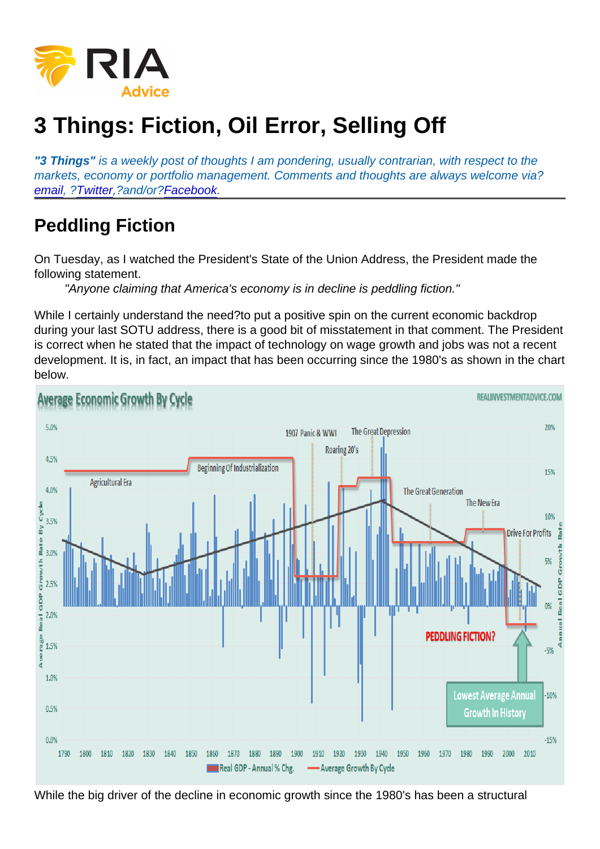## 3 Things: Fiction, Oil Error, Selling Off

"3 Things" is a weekly post of thoughts I am pondering, usually contrarian, with respect to the markets, economy or portfolio management. Comments and thoughts are always welcome via? [email,](mailto:lance@realinvestmentadvice.com) [?Twitter](https://twitter.com/LanceRoberts),?and/or?[Facebook](https://www.facebook.com/RealInvestmentAdvice/).

## Peddling Fiction

On Tuesday, as I watched the President's State of the Union Address, the President made the following statement.

"Anyone claiming that America's economy is in decline is peddling fiction."

While I certainly understand the need?to put a positive spin on the current economic backdrop during your last SOTU address, there is a good bit of misstatement in that comment. The President is correct when he stated that the impact of technology on wage growth and jobs was not a recent development. It is, in fact, an impact that has been occurring since the 1980's as shown in the chart below.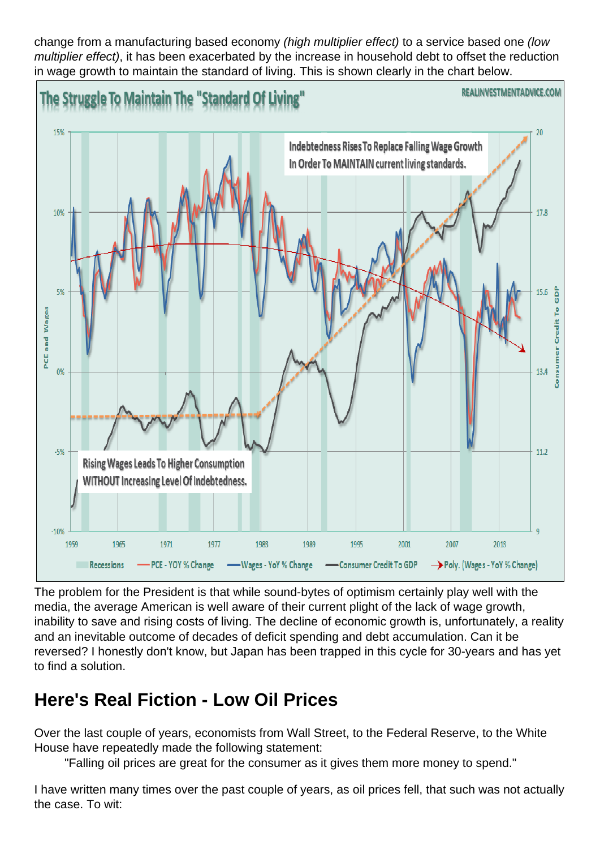change from a manufacturing based economy (high multiplier effect) to a service based one (low multiplier effect), it has been exacerbated by the increase in household debt to offset the reduction in wage growth to maintain the standard of living. This is shown clearly in the chart below.

The problem for the President is that while sound-bytes of optimism certainly play well with the media, the average American is well aware of their current plight of the lack of wage growth, inability to save and rising costs of living. The decline of economic growth is, unfortunately, a reality and an inevitable outcome of decades of deficit spending and debt accumulation. Can it be reversed? I honestly don't know, but Japan has been trapped in this cycle for 30-years and has yet to find a solution.

## Here's Real Fiction - Low Oil Prices

Over the last couple of years, economists from Wall Street, to the Federal Reserve, to the White House have repeatedly made the following statement:

"Falling oil prices are great for the consumer as it gives them more money to spend."

I have written many times over the past couple of years, as oil prices fell, that such was not actually the case. To wit: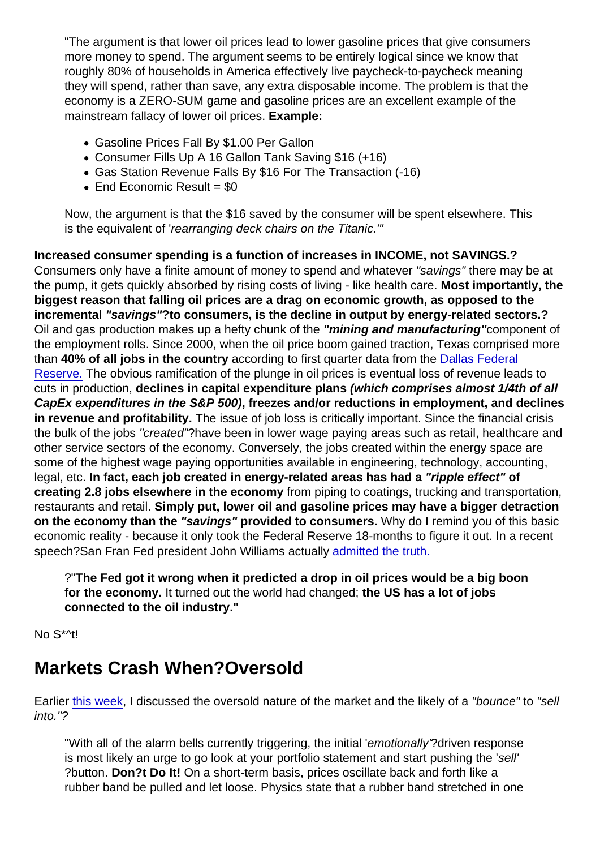"The argument is that lower oil prices lead to lower gasoline prices that give consumers more money to spend. The argument seems to be entirely logical since we know that roughly 80% of households in America effectively live paycheck-to-paycheck meaning they will spend, rather than save, any extra disposable income. The problem is that the economy is a ZERO-SUM game and gasoline prices are an excellent example of the mainstream fallacy of lower oil prices. Example:

- Gasoline Prices Fall By \$1.00 Per Gallon
- Consumer Fills Up A 16 Gallon Tank Saving \$16 (+16)
- Gas Station Revenue Falls By \$16 For The Transaction (-16)
- $\bullet$  End Economic Result = \$0

Now, the argument is that the \$16 saved by the consumer will be spent elsewhere. This is the equivalent of 'rearranging deck chairs on the Titanic.'"

Increased consumer spending is a function of increases in INCOME, not SAVINGS.? Consumers only have a finite amount of money to spend and whatever "savings" there may be at the pump, it gets quickly absorbed by rising costs of living - like health care. Most importantly, the biggest reason that falling oil prices are a drag on economic growth, as opposed to the incremental "savings" ?to consumers, is the decline in output by energy-related sectors.? Oil and gas production makes up a hefty chunk of the "mining and manufacturing" component of the employment rolls. Since 2000, when the oil price boom gained traction, Texas comprised more than 40% of all jobs in the country according to first quarter data from the [Dallas Federal](https://www.google.com/url?sa=t&rct=j&q=&esrc=s&source=web&cd=1&ved=0CCAQFjAA&url=https://www.dallasfed.org/assets/documents/research/swe/2014/swe1401d.pdf&ei=uFVrVNnUIYiSyQTFwoGADQ&usg=AFQjCNH06FzsxWInIk_5KnxtzBxSzYW87A&sig2=wOLBfeKtFJ9CRe_UVEy9DQ&bvm=bv.79908130,d.aWw&cad=rja) [Reserve.](https://www.google.com/url?sa=t&rct=j&q=&esrc=s&source=web&cd=1&ved=0CCAQFjAA&url=https://www.dallasfed.org/assets/documents/research/swe/2014/swe1401d.pdf&ei=uFVrVNnUIYiSyQTFwoGADQ&usg=AFQjCNH06FzsxWInIk_5KnxtzBxSzYW87A&sig2=wOLBfeKtFJ9CRe_UVEy9DQ&bvm=bv.79908130,d.aWw&cad=rja) The obvious ramification of the plunge in oil prices is eventual loss of revenue leads to cuts in production, declines in capital expenditure plans (which comprises almost 1/4th of all CapEx expenditures in the S&P 500) , freezes and/or reductions in employment, and declines in revenue and profitability. The issue of job loss is critically important. Since the financial crisis the bulk of the jobs "created"?have been in lower wage paying areas such as retail, healthcare and other service sectors of the economy. Conversely, the jobs created within the energy space are some of the highest wage paying opportunities available in engineering, technology, accounting, legal, etc. In fact, each job created in energy-related areas has had a "ripple effect" of creating 2.8 jobs elsewhere in the economy from piping to coatings, trucking and transportation, restaurants and retail. Simply put, lower oil and gasoline prices may have a bigger detraction on the economy than the "savings" provided to consumers. Why do I remind you of this basic economic reality - because it only took the Federal Reserve 18-months to figure it out. In a recent speech?San Fran Fed president John Williams actually [admitted the truth.](http://education.forexlive.com/!/this-quote-from-williams-shows-everything-thats-wrong-with-central-bankers-20160109)

?"The Fed got it wrong when it predicted a drop in oil prices would be a big boon for the economy. It turned out the world had changed; the US has a lot of jobs connected to the oil industry."

No S\*^t!

## Markets Crash When?Oversold

Earlier [this week](https://realinvestmentadvice.com/technically-speaking-managing-a-trend-change/), I discussed the oversold nature of the market and the likely of a "bounce" to "sell into."?

"With all of the alarm bells currently triggering, the initial 'emotionally'?driven response is most likely an urge to go look at your portfolio statement and start pushing the 'sell' ?button. Don?t Do It! On a short-term basis, prices oscillate back and forth like a rubber band be pulled and let loose. Physics state that a rubber band stretched in one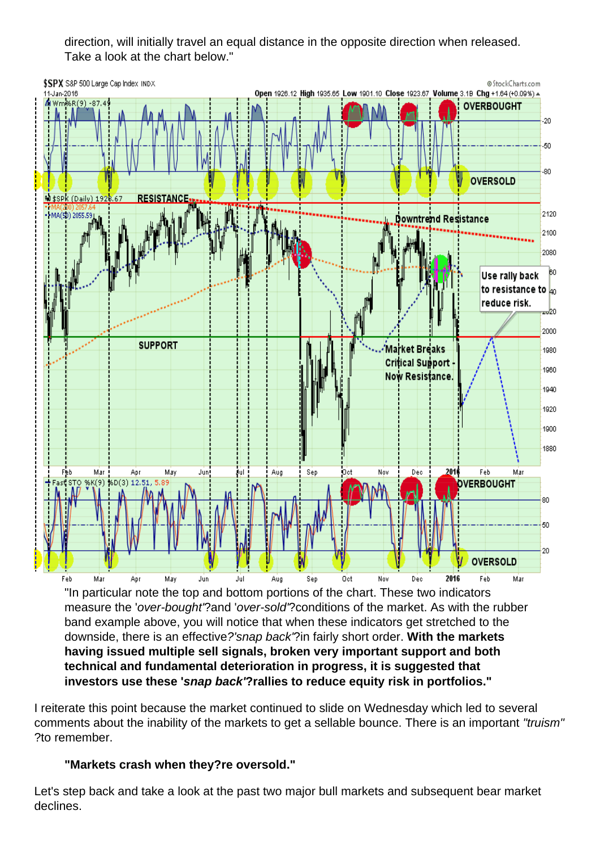direction, will initially travel an equal distance in the opposite direction when released. Take a look at the chart below."

"In particular note the top and bottom portions of the chart. These two indicators measure the 'over-bought'?and 'over-sold'?conditions of the market. As with the rubber band example above, you will notice that when these indicators get stretched to the downside, there is an effective?'snap back'?in fairly short order. With the markets having issued multiple sell signals, broken very important support and both technical and fundamental deterioration in progress, it is suggested that investors use these ' snap back' ?rallies to reduce equity risk in portfolios."

I reiterate this point because the market continued to slide on Wednesday which led to several comments about the inability of the markets to get a sellable bounce. There is an important "truism" ?to remember.

"Markets crash when they?re oversold."

Let's step back and take a look at the past two major bull markets and subsequent bear market declines.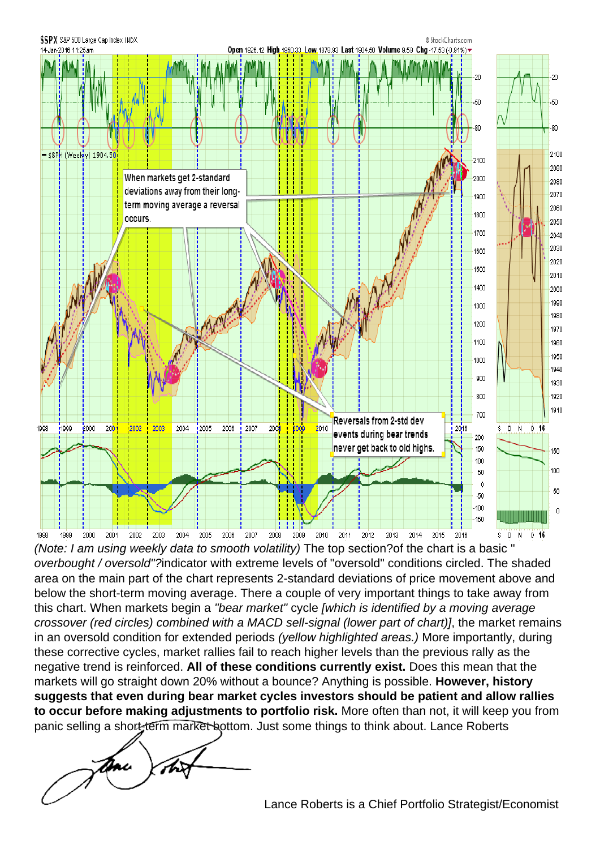(Note: I am using weekly data to smooth volatility) The top section?of the chart is a basic " overbought / oversold"?indicator with extreme levels of "oversold" conditions circled. The shaded area on the main part of the chart represents 2-standard deviations of price movement above and below the short-term moving average. There a couple of very important things to take away from this chart. When markets begin a "bear market" cycle [which is identified by a moving average crossover (red circles) combined with a MACD sell-signal (lower part of chart)], the market remains in an oversold condition for extended periods (yellow highlighted areas.) More importantly, during these corrective cycles, market rallies fail to reach higher levels than the previous rally as the negative trend is reinforced. All of these conditions currently exist. Does this mean that the markets will go straight down 20% without a bounce? Anything is possible. However, history suggests that even during bear market cycles investors should be patient and allow rallies to occur before making adjustments to portfolio risk. More often than not, it will keep you from [panic selling a short-term market bottom. J](https://realinvestmentadvice.com/wp-content/uploads/2015/12/lance_sig1.gif)ust some things to think about. Lance Roberts